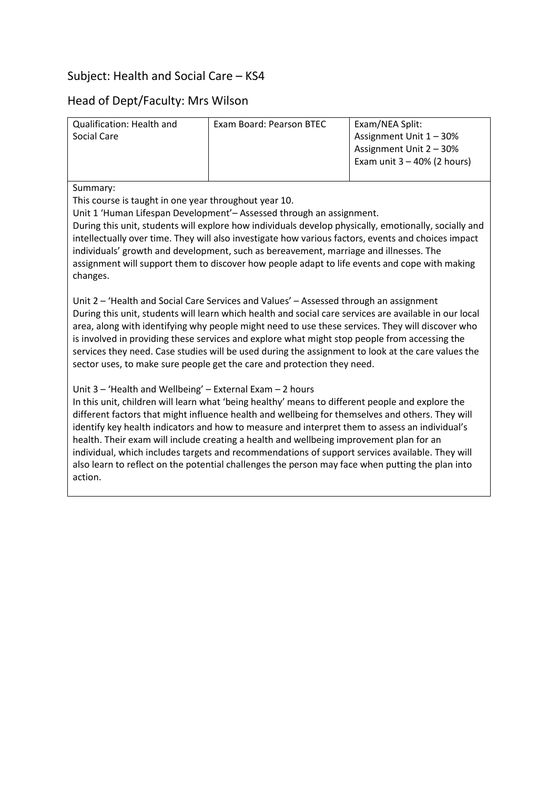# Subject: Health and Social Care – KS4

## Head of Dept/Faculty: Mrs Wilson

| Qualification: Health and<br>Social Care                                                                                                                                                                                                                                                                                                                                                                                                                                                                                                                                               | Exam Board: Pearson BTEC | Exam/NEA Split:<br>Assignment Unit 1 - 30%<br>Assignment Unit 2 - 30% |  |  |
|----------------------------------------------------------------------------------------------------------------------------------------------------------------------------------------------------------------------------------------------------------------------------------------------------------------------------------------------------------------------------------------------------------------------------------------------------------------------------------------------------------------------------------------------------------------------------------------|--------------------------|-----------------------------------------------------------------------|--|--|
|                                                                                                                                                                                                                                                                                                                                                                                                                                                                                                                                                                                        |                          | Exam unit $3 - 40\%$ (2 hours)                                        |  |  |
| Summary:<br>This course is taught in one year throughout year 10.<br>Unit 1 'Human Lifespan Development' – Assessed through an assignment.<br>During this unit, students will explore how individuals develop physically, emotionally, socially and<br>intellectually over time. They will also investigate how various factors, events and choices impact<br>individuals' growth and development, such as bereavement, marriage and illnesses. The<br>assignment will support them to discover how people adapt to life events and cope with making<br>changes.                       |                          |                                                                       |  |  |
| Unit 2 – 'Health and Social Care Services and Values' – Assessed through an assignment<br>During this unit, students will learn which health and social care services are available in our local<br>area, along with identifying why people might need to use these services. They will discover who<br>is involved in providing these services and explore what might stop people from accessing the<br>services they need. Case studies will be used during the assignment to look at the care values the<br>sector uses, to make sure people get the care and protection they need. |                          |                                                                       |  |  |

Unit 3 – 'Health and Wellbeing' – External Exam – 2 hours

In this unit, children will learn what 'being healthy' means to different people and explore the different factors that might influence health and wellbeing for themselves and others. They will identify key health indicators and how to measure and interpret them to assess an individual's health. Their exam will include creating a health and wellbeing improvement plan for an individual, which includes targets and recommendations of support services available. They will also learn to reflect on the potential challenges the person may face when putting the plan into action.